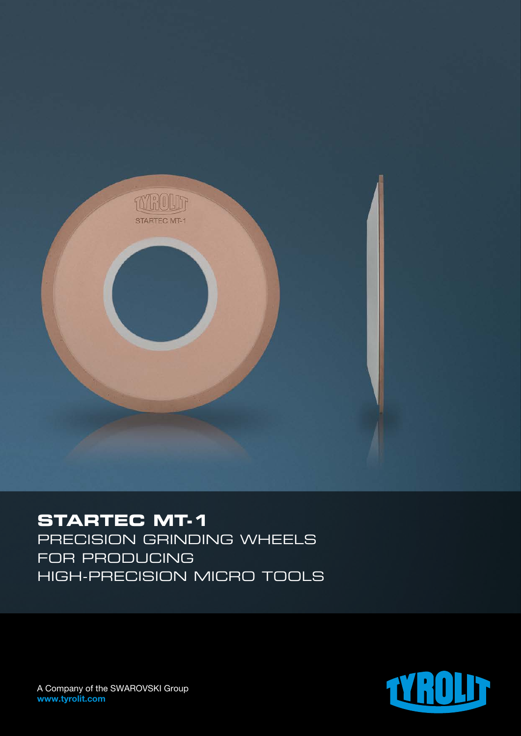

# **STARTEC MT-1**

Precision grinding wheels for producing high-precision micro tools